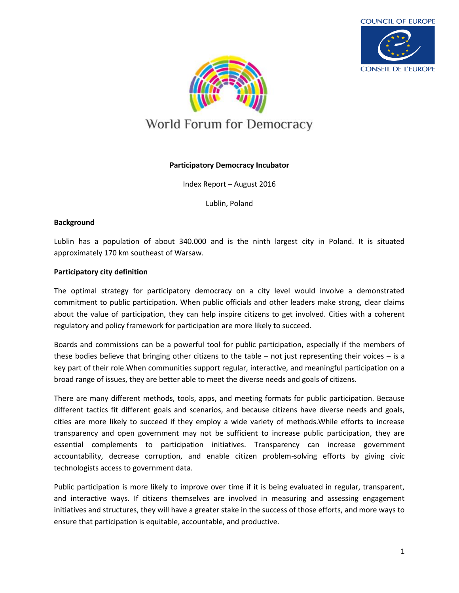



# World Forum for Democracy

## **Participatory Democracy Incubator**

Index Report – August 2016

Lublin, Poland

#### **Background**

Lublin has a population of about 340.000 and is the ninth largest city in Poland. It is situated approximately 170 km southeast of Warsaw.

#### **Participatory city definition**

The optimal strategy for participatory democracy on a city level would involve a demonstrated commitment to public participation. When public officials and other leaders make strong, clear claims about the value of participation, they can help inspire citizens to get involved. Cities with a coherent regulatory and policy framework for participation are more likely to succeed.

Boards and commissions can be a powerful tool for public participation, especially if the members of these bodies believe that bringing other citizens to the table – not just representing their voices – is a key part of their role.When communities support regular, interactive, and meaningful participation on a broad range of issues, they are better able to meet the diverse needs and goals of citizens.

There are many different methods, tools, apps, and meeting formats for public participation. Because different tactics fit different goals and scenarios, and because citizens have diverse needs and goals, cities are more likely to succeed if they employ a wide variety of methods.While efforts to increase transparency and open government may not be sufficient to increase public participation, they are essential complements to participation initiatives. Transparency can increase government accountability, decrease corruption, and enable citizen problem-solving efforts by giving civic technologists access to government data.

Public participation is more likely to improve over time if it is being evaluated in regular, transparent, and interactive ways. If citizens themselves are involved in measuring and assessing engagement initiatives and structures, they will have a greater stake in the success of those efforts, and more ways to ensure that participation is equitable, accountable, and productive.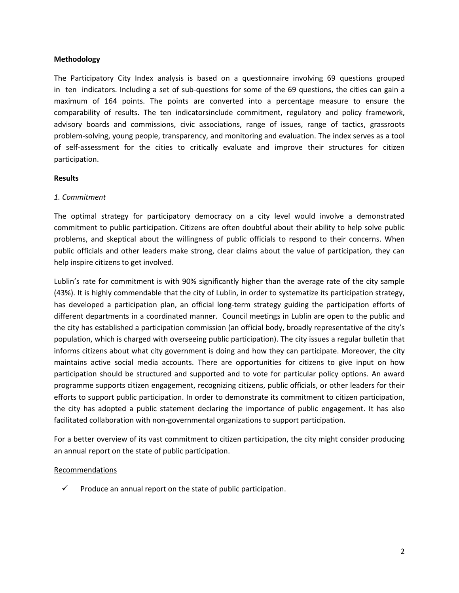#### **Methodology**

The Participatory City Index analysis is based on a questionnaire involving 69 questions grouped in ten indicators. Including a set of sub-questions for some of the 69 questions, the cities can gain a maximum of 164 points. The points are converted into a percentage measure to ensure the comparability of results. The ten indicatorsinclude commitment, regulatory and policy framework, advisory boards and commissions, civic associations, range of issues, range of tactics, grassroots problem-solving, young people, transparency, and monitoring and evaluation. The index serves as a tool of self-assessment for the cities to critically evaluate and improve their structures for citizen participation.

#### **Results**

#### *1. Commitment*

The optimal strategy for participatory democracy on a city level would involve a demonstrated commitment to public participation. Citizens are often doubtful about their ability to help solve public problems, and skeptical about the willingness of public officials to respond to their concerns. When public officials and other leaders make strong, clear claims about the value of participation, they can help inspire citizens to get involved.

Lublin's rate for commitment is with 90% significantly higher than the average rate of the city sample (43%). It is highly commendable that the city of Lublin, in order to systematize its participation strategy, has developed a participation plan, an official long-term strategy guiding the participation efforts of different departments in a coordinated manner. Council meetings in Lublin are open to the public and the city has established a participation commission (an official body, broadly representative of the city's population, which is charged with overseeing public participation). The city issues a regular bulletin that informs citizens about what city government is doing and how they can participate. Moreover, the city maintains active social media accounts. There are opportunities for citizens to give input on how participation should be structured and supported and to vote for particular policy options. An award programme supports citizen engagement, recognizing citizens, public officials, or other leaders for their efforts to support public participation. In order to demonstrate its commitment to citizen participation, the city has adopted a public statement declaring the importance of public engagement. It has also facilitated collaboration with non-governmental organizations to support participation.

For a better overview of its vast commitment to citizen participation, the city might consider producing an annual report on the state of public participation.

#### Recommendations

 $\checkmark$  Produce an annual report on the state of public participation.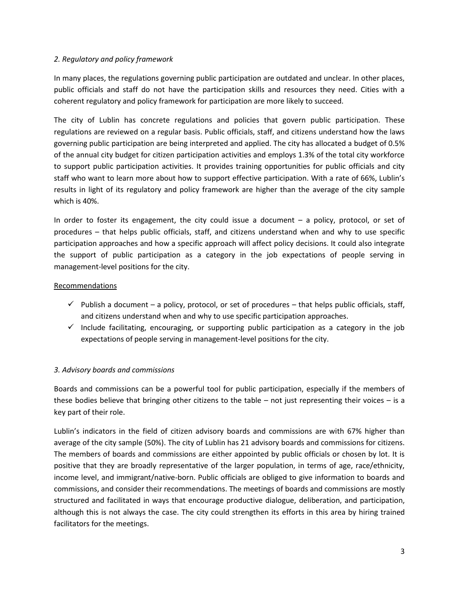## *2. Regulatory and policy framework*

In many places, the regulations governing public participation are outdated and unclear. In other places, public officials and staff do not have the participation skills and resources they need. Cities with a coherent regulatory and policy framework for participation are more likely to succeed.

The city of Lublin has concrete regulations and policies that govern public participation. These regulations are reviewed on a regular basis. Public officials, staff, and citizens understand how the laws governing public participation are being interpreted and applied. The city has allocated a budget of 0.5% of the annual city budget for citizen participation activities and employs 1.3% of the total city workforce to support public participation activities. It provides training opportunities for public officials and city staff who want to learn more about how to support effective participation. With a rate of 66%, Lublin's results in light of its regulatory and policy framework are higher than the average of the city sample which is 40%.

In order to foster its engagement, the city could issue a document – a policy, protocol, or set of procedures – that helps public officials, staff, and citizens understand when and why to use specific participation approaches and how a specific approach will affect policy decisions. It could also integrate the support of public participation as a category in the job expectations of people serving in management-level positions for the city.

## Recommendations

- $\checkmark$  Publish a document a policy, protocol, or set of procedures that helps public officials, staff, and citizens understand when and why to use specific participation approaches.
- $\checkmark$  Include facilitating, encouraging, or supporting public participation as a category in the job expectations of people serving in management-level positions for the city.

# *3. Advisory boards and commissions*

Boards and commissions can be a powerful tool for public participation, especially if the members of these bodies believe that bringing other citizens to the table – not just representing their voices – is a key part of their role.

Lublin's indicators in the field of citizen advisory boards and commissions are with 67% higher than average of the city sample (50%). The city of Lublin has 21 advisory boards and commissions for citizens. The members of boards and commissions are either appointed by public officials or chosen by lot. It is positive that they are broadly representative of the larger population, in terms of age, race/ethnicity, income level, and immigrant/native-born. Public officials are obliged to give information to boards and commissions, and consider their recommendations. The meetings of boards and commissions are mostly structured and facilitated in ways that encourage productive dialogue, deliberation, and participation, although this is not always the case. The city could strengthen its efforts in this area by hiring trained facilitators for the meetings.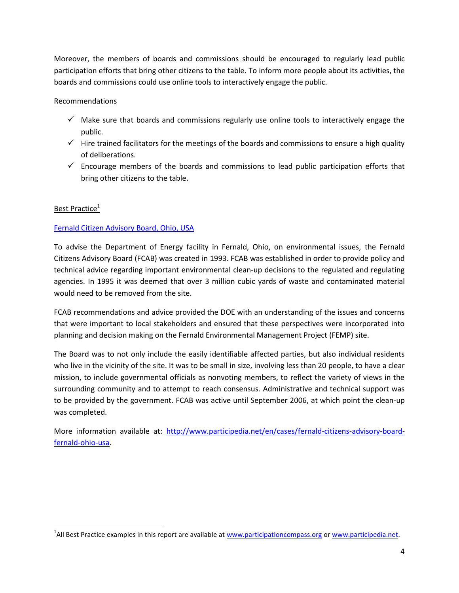Moreover, the members of boards and commissions should be encouraged to regularly lead public participation efforts that bring other citizens to the table. To inform more people about its activities, the boards and commissions could use online tools to interactively engage the public.

# Recommendations

- $\checkmark$  Make sure that boards and commissions regularly use online tools to interactively engage the public.
- $\checkmark$  Hire trained facilitators for the meetings of the boards and commissions to ensure a high quality of deliberations.
- $\checkmark$  Encourage members of the boards and commissions to lead public participation efforts that bring other citizens to the table.

# Best Practice<sup>1</sup>

 $\overline{\phantom{a}}$ 

# [Fernald Citizen Advisory Board, Ohio, USA](http://www.participedia.net/en/cases/fernald-citizens-advisory-board-fernald-ohio-usa)

To advise the Department of Energy facility in Fernald, Ohio, on environmental issues, the Fernald Citizens Advisory Board (FCAB) was created in 1993. FCAB was established in order to provide policy and technical advice regarding important environmental clean-up decisions to the regulated and regulating agencies. In 1995 it was deemed that over 3 million cubic yards of waste and contaminated material would need to be removed from the site.

FCAB recommendations and advice provided the DOE with an understanding of the issues and concerns that were important to local stakeholders and ensured that these perspectives were incorporated into planning and decision making on the Fernald Environmental Management Project (FEMP) site.

The Board was to not only include the easily identifiable affected parties, but also individual residents who live in the vicinity of the site. It was to be small in size, involving less than 20 people, to have a clear mission, to include governmental officials as nonvoting members, to reflect the variety of views in the surrounding community and to attempt to reach consensus. Administrative and technical support was to be provided by the government. FCAB was active until September 2006, at which point the clean-up was completed.

More information available at: [http://www.participedia.net/en/cases/fernald-citizens-advisory-board](http://www.participedia.net/en/cases/fernald-citizens-advisory-board-fernald-ohio-usa)[fernald-ohio-usa.](http://www.participedia.net/en/cases/fernald-citizens-advisory-board-fernald-ohio-usa)

<sup>&</sup>lt;sup>1</sup>All Best Practice examples in this report are available a[t www.participationcompass.org](http://www.participationcompass.org/) or www.participedia.net.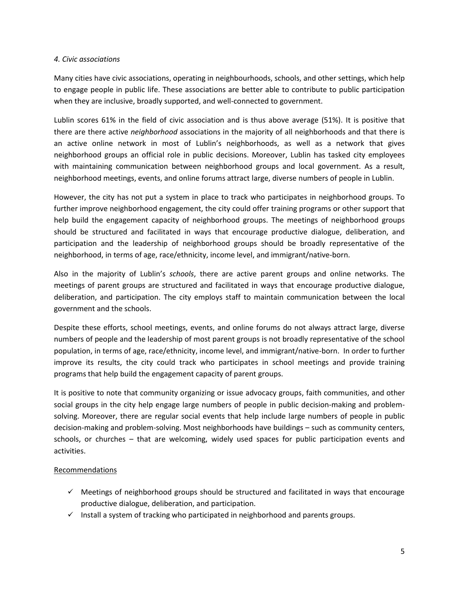#### *4. Civic associations*

Many cities have civic associations, operating in neighbourhoods, schools, and other settings, which help to engage people in public life. These associations are better able to contribute to public participation when they are inclusive, broadly supported, and well-connected to government.

Lublin scores 61% in the field of civic association and is thus above average (51%). It is positive that there are there active *neighborhood* associations in the majority of all neighborhoods and that there is an active online network in most of Lublin's neighborhoods, as well as a network that gives neighborhood groups an official role in public decisions. Moreover, Lublin has tasked city employees with maintaining communication between neighborhood groups and local government. As a result, neighborhood meetings, events, and online forums attract large, diverse numbers of people in Lublin.

However, the city has not put a system in place to track who participates in neighborhood groups. To further improve neighborhood engagement, the city could offer training programs or other support that help build the engagement capacity of neighborhood groups. The meetings of neighborhood groups should be structured and facilitated in ways that encourage productive dialogue, deliberation, and participation and the leadership of neighborhood groups should be broadly representative of the neighborhood, in terms of age, race/ethnicity, income level, and immigrant/native-born.

Also in the majority of Lublin's *schools*, there are active parent groups and online networks. The meetings of parent groups are structured and facilitated in ways that encourage productive dialogue, deliberation, and participation. The city employs staff to maintain communication between the local government and the schools.

Despite these efforts, school meetings, events, and online forums do not always attract large, diverse numbers of people and the leadership of most parent groups is not broadly representative of the school population, in terms of age, race/ethnicity, income level, and immigrant/native-born. In order to further improve its results, the city could track who participates in school meetings and provide training programs that help build the engagement capacity of parent groups.

It is positive to note that community organizing or issue advocacy groups, faith communities, and other social groups in the city help engage large numbers of people in public decision-making and problemsolving. Moreover, there are regular social events that help include large numbers of people in public decision-making and problem-solving. Most neighborhoods have buildings – such as community centers, schools, or churches – that are welcoming, widely used spaces for public participation events and activities.

#### Recommendations

- $\checkmark$  Meetings of neighborhood groups should be structured and facilitated in ways that encourage productive dialogue, deliberation, and participation.
- $\checkmark$  Install a system of tracking who participated in neighborhood and parents groups.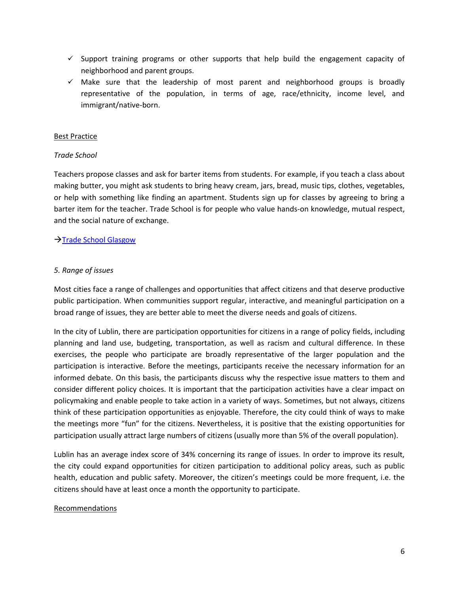- $\checkmark$  Support training programs or other supports that help build the engagement capacity of neighborhood and parent groups.
- $\checkmark$  Make sure that the leadership of most parent and neighborhood groups is broadly representative of the population, in terms of age, race/ethnicity, income level, and immigrant/native-born.

#### Best Practice

#### *Trade School*

Teachers propose classes and ask for barter items from students. For example, if you teach a class about making butter, you might ask students to bring heavy cream, jars, bread, music tips, clothes, vegetables, or help with something like finding an apartment. Students sign up for classes by agreeing to bring a barter item for the teacher. Trade School is for people who value hands-on knowledge, mutual respect, and the social nature of exchange.

#### → [Trade School Glasgow](http://tradeschool.coop/about/)

#### *5. Range of issues*

Most cities face a range of challenges and opportunities that affect citizens and that deserve productive public participation. When communities support regular, interactive, and meaningful participation on a broad range of issues, they are better able to meet the diverse needs and goals of citizens.

In the city of Lublin, there are participation opportunities for citizens in a range of policy fields, including planning and land use, budgeting, transportation, as well as racism and cultural difference. In these exercises, the people who participate are broadly representative of the larger population and the participation is interactive. Before the meetings, participants receive the necessary information for an informed debate. On this basis, the participants discuss why the respective issue matters to them and consider different policy choices. It is important that the participation activities have a clear impact on policymaking and enable people to take action in a variety of ways. Sometimes, but not always, citizens think of these participation opportunities as enjoyable. Therefore, the city could think of ways to make the meetings more "fun" for the citizens. Nevertheless, it is positive that the existing opportunities for participation usually attract large numbers of citizens (usually more than 5% of the overall population).

Lublin has an average index score of 34% concerning its range of issues. In order to improve its result, the city could expand opportunities for citizen participation to additional policy areas, such as public health, education and public safety. Moreover, the citizen's meetings could be more frequent, i.e. the citizens should have at least once a month the opportunity to participate.

#### Recommendations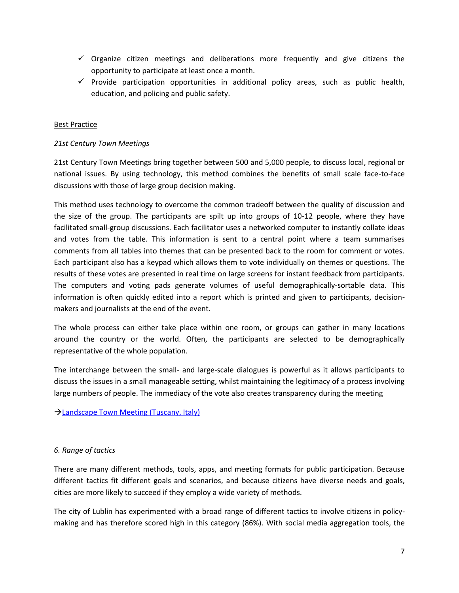- $\checkmark$  Organize citizen meetings and deliberations more frequently and give citizens the opportunity to participate at least once a month.
- $\checkmark$  Provide participation opportunities in additional policy areas, such as public health, education, and policing and public safety.

## Best Practice

#### *21st Century Town Meetings*

21st Century Town Meetings bring together between 500 and 5,000 people, to discuss local, regional or national issues. By using technology, this method combines the benefits of small scale face-to-face discussions with those of large group decision making.

This method uses technology to overcome the common tradeoff between the quality of discussion and the size of the group. The participants are spilt up into groups of 10-12 people, where they have facilitated small-group discussions. Each facilitator uses a networked computer to instantly collate ideas and votes from the table. This information is sent to a central point where a team summarises comments from all tables into themes that can be presented back to the room for comment or votes. Each participant also has a keypad which allows them to vote individually on themes or questions. The results of these votes are presented in real time on large screens for instant feedback from participants. The computers and voting pads generate volumes of useful demographically-sortable data. This information is often quickly edited into a report which is printed and given to participants, decisionmakers and journalists at the end of the event.

The whole process can either take place within one room, or groups can gather in many locations around the country or the world. Often, the participants are selected to be demographically representative of the whole population.

The interchange between the small- and large-scale dialogues is powerful as it allows participants to discuss the issues in a small manageable setting, whilst maintaining the legitimacy of a process involving large numbers of people. The immediacy of the vote also creates transparency during the meeting

[Landscape Town Meeting \(Tuscany, Italy\)](http://participedia.net/en/cases/landscape-town-meeting-tuscany-italy)

#### *6. Range of tactics*

There are many different methods, tools, apps, and meeting formats for public participation. Because different tactics fit different goals and scenarios, and because citizens have diverse needs and goals, cities are more likely to succeed if they employ a wide variety of methods.

The city of Lublin has experimented with a broad range of different tactics to involve citizens in policymaking and has therefore scored high in this category (86%). With social media aggregation tools, the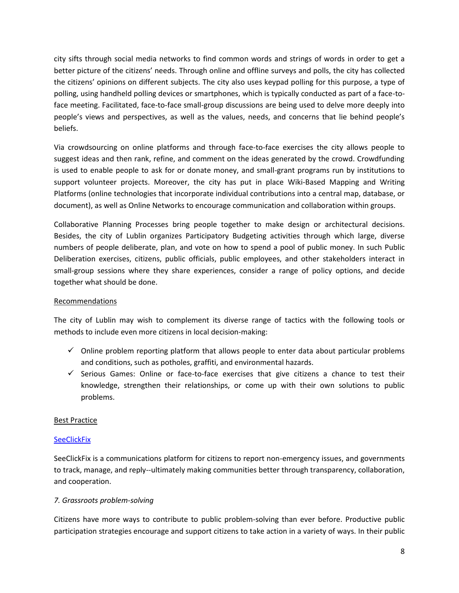city sifts through social media networks to find common words and strings of words in order to get a better picture of the citizens' needs. Through online and offline surveys and polls, the city has collected the citizens' opinions on different subjects. The city also uses keypad polling for this purpose, a type of polling, using handheld polling devices or smartphones, which is typically conducted as part of a face-toface meeting. Facilitated, face-to-face small-group discussions are being used to delve more deeply into people's views and perspectives, as well as the values, needs, and concerns that lie behind people's beliefs.

Via crowdsourcing on online platforms and through face-to-face exercises the city allows people to suggest ideas and then rank, refine, and comment on the ideas generated by the crowd. Crowdfunding is used to enable people to ask for or donate money, and small-grant programs run by institutions to support volunteer projects. Moreover, the city has put in place Wiki-Based Mapping and Writing Platforms (online technologies that incorporate individual contributions into a central map, database, or document), as well as Online Networks to encourage communication and collaboration within groups.

Collaborative Planning Processes bring people together to make design or architectural decisions. Besides, the city of Lublin organizes Participatory Budgeting activities through which large, diverse numbers of people deliberate, plan, and vote on how to spend a pool of public money. In such Public Deliberation exercises, citizens, public officials, public employees, and other stakeholders interact in small-group sessions where they share experiences, consider a range of policy options, and decide together what should be done.

## Recommendations

The city of Lublin may wish to complement its diverse range of tactics with the following tools or methods to include even more citizens in local decision-making:

- $\checkmark$  Online problem reporting platform that allows people to enter data about particular problems and conditions, such as potholes, graffiti, and environmental hazards.
- $\checkmark$  Serious Games: Online or face-to-face exercises that give citizens a chance to test their knowledge, strengthen their relationships, or come up with their own solutions to public problems.

#### Best Practice

#### **[SeeClickFix](http://de.seeclickfix.com/)**

SeeClickFix is a communications platform for citizens to report non-emergency issues, and governments to track, manage, and reply--ultimately making communities better through transparency, collaboration, and cooperation.

#### *7. Grassroots problem-solving*

Citizens have more ways to contribute to public problem-solving than ever before. Productive public participation strategies encourage and support citizens to take action in a variety of ways. In their public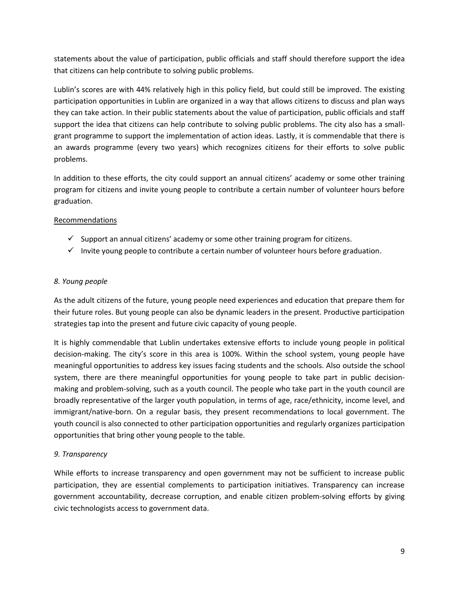statements about the value of participation, public officials and staff should therefore support the idea that citizens can help contribute to solving public problems.

Lublin's scores are with 44% relatively high in this policy field, but could still be improved. The existing participation opportunities in Lublin are organized in a way that allows citizens to discuss and plan ways they can take action. In their public statements about the value of participation, public officials and staff support the idea that citizens can help contribute to solving public problems. The city also has a smallgrant programme to support the implementation of action ideas. Lastly, it is commendable that there is an awards programme (every two years) which recognizes citizens for their efforts to solve public problems.

In addition to these efforts, the city could support an annual citizens' academy or some other training program for citizens and invite young people to contribute a certain number of volunteer hours before graduation.

# Recommendations

- $\checkmark$  Support an annual citizens' academy or some other training program for citizens.
- $\checkmark$  Invite young people to contribute a certain number of volunteer hours before graduation.

# *8. Young people*

As the adult citizens of the future, young people need experiences and education that prepare them for their future roles. But young people can also be dynamic leaders in the present. Productive participation strategies tap into the present and future civic capacity of young people.

It is highly commendable that Lublin undertakes extensive efforts to include young people in political decision-making. The city's score in this area is 100%. Within the school system, young people have meaningful opportunities to address key issues facing students and the schools. Also outside the school system, there are there meaningful opportunities for young people to take part in public decisionmaking and problem-solving, such as a youth council. The people who take part in the youth council are broadly representative of the larger youth population, in terms of age, race/ethnicity, income level, and immigrant/native-born. On a regular basis, they present recommendations to local government. The youth council is also connected to other participation opportunities and regularly organizes participation opportunities that bring other young people to the table.

# *9. Transparency*

While efforts to increase transparency and open government may not be sufficient to increase public participation, they are essential complements to participation initiatives. Transparency can increase government accountability, decrease corruption, and enable citizen problem-solving efforts by giving civic technologists access to government data.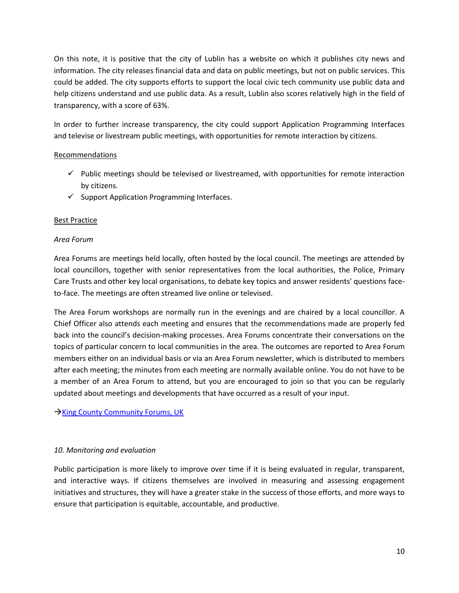On this note, it is positive that the city of Lublin has a website on which it publishes city news and information. The city releases financial data and data on public meetings, but not on public services. This could be added. The city supports efforts to support the local civic tech community use public data and help citizens understand and use public data. As a result, Lublin also scores relatively high in the field of transparency, with a score of 63%.

In order to further increase transparency, the city could support Application Programming Interfaces and televise or livestream public meetings, with opportunities for remote interaction by citizens.

# Recommendations

- $\checkmark$  Public meetings should be televised or livestreamed, with opportunities for remote interaction by citizens.
- $\checkmark$  Support Application Programming Interfaces.

# Best Practice

# *Area Forum*

Area Forums are meetings held locally, often hosted by the local council. The meetings are attended by local councillors, together with senior representatives from the local authorities, the Police, Primary Care Trusts and other key local organisations, to debate key topics and answer residents' questions faceto-face. The meetings are often streamed live online or televised.

The Area Forum workshops are normally run in the evenings and are chaired by a local councillor. A Chief Officer also attends each meeting and ensures that the recommendations made are properly fed back into the council's decision-making processes. Area Forums concentrate their conversations on the topics of particular concern to local communities in the area. The outcomes are reported to Area Forum members either on an individual basis or via an Area Forum newsletter, which is distributed to members after each meeting; the minutes from each meeting are normally available online. You do not have to be a member of an Area Forum to attend, but you are encouraged to join so that you can be regularly updated about meetings and developments that have occurred as a result of your input.

 $\rightarrow$ [King County Community Forums, UK](http://participedia.net/en/cases/countywide-community-forums-king-county)

# *10. Monitoring and evaluation*

Public participation is more likely to improve over time if it is being evaluated in regular, transparent, and interactive ways. If citizens themselves are involved in measuring and assessing engagement initiatives and structures, they will have a greater stake in the success of those efforts, and more ways to ensure that participation is equitable, accountable, and productive.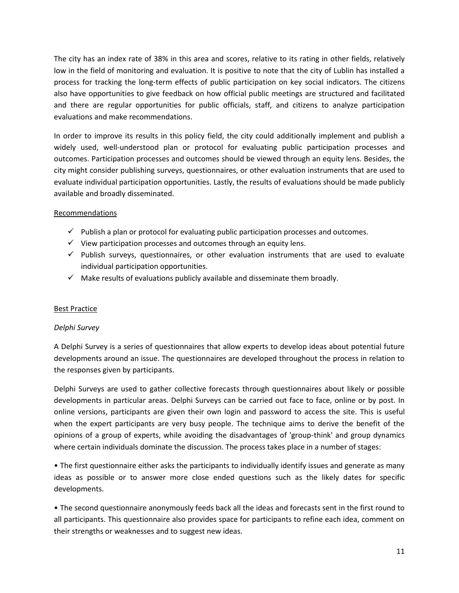The city has an index rate of 38% in this area and scores, relative to its rating in other fields, relatively low in the field of monitoring and evaluation. It is positive to note that the city of Lublin has installed a process for tracking the long-term effects of public participation on key social indicators. The citizens also have opportunities to give feedback on how official public meetings are structured and facilitated and there are regular opportunities for public officials, staff, and citizens to analyze participation evaluations and make recommendations.

In order to improve its results in this policy field, the city could additionally implement and publish a widely used, well-understood plan or protocol for evaluating public participation processes and outcomes. Participation processes and outcomes should be viewed through an equity lens. Besides, the city might consider publishing surveys, questionnaires, or other evaluation instruments that are used to evaluate individual participation opportunities. Lastly, the results of evaluations should be made publicly available and broadly disseminated.

## Recommendations

- $\checkmark$  Publish a plan or protocol for evaluating public participation processes and outcomes.
- $\checkmark$  View participation processes and outcomes through an equity lens.
- $\checkmark$  Publish surveys, questionnaires, or other evaluation instruments that are used to evaluate individual participation opportunities.
- $\checkmark$  Make results of evaluations publicly available and disseminate them broadly.

# Best Practice

#### *Delphi Survey*

A Delphi Survey is a series of questionnaires that allow experts to develop ideas about potential future developments around an issue. The questionnaires are developed throughout the process in relation to the responses given by participants.

Delphi Surveys are used to gather collective forecasts through questionnaires about likely or possible developments in particular areas. Delphi Surveys can be carried out face to face, online or by post. In online versions, participants are given their own login and password to access the site. This is useful when the expert participants are very busy people. The technique aims to derive the benefit of the opinions of a group of experts, while avoiding the disadvantages of 'group-think' and group dynamics where certain individuals dominate the discussion. The process takes place in a number of stages:

• The first questionnaire either asks the participants to individually identify issues and generate as many ideas as possible or to answer more close ended questions such as the likely dates for specific developments.

• The second questionnaire anonymously feeds back all the ideas and forecasts sent in the first round to all participants. This questionnaire also provides space for participants to refine each idea, comment on their strengths or weaknesses and to suggest new ideas.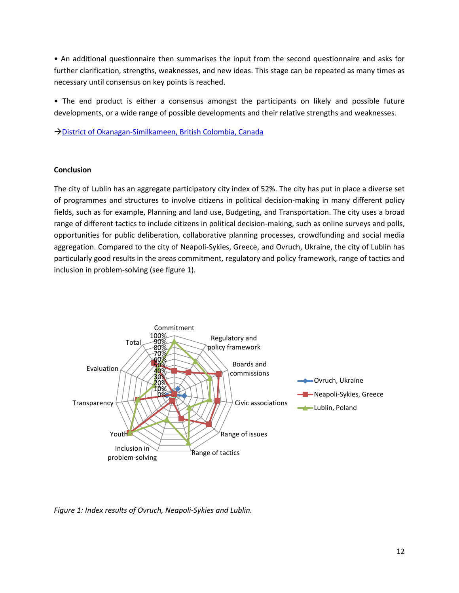• An additional questionnaire then summarises the input from the second questionnaire and asks for further clarification, strengths, weaknesses, and new ideas. This stage can be repeated as many times as necessary until consensus on key points is reached.

• The end product is either a consensus amongst the participants on likely and possible future developments, or a wide range of possible developments and their relative strengths and weaknesses.

→ [District of Okanagan-Similkameen, British Colombia, Canada](http://participedia.net/en/cases/use-delphi-method-develop-horse-control-strategy)

#### **Conclusion**

The city of Lublin has an aggregate participatory city index of 52%. The city has put in place a diverse set of programmes and structures to involve citizens in political decision-making in many different policy fields, such as for example, Planning and land use, Budgeting, and Transportation. The city uses a broad range of different tactics to include citizens in political decision-making, such as online surveys and polls, opportunities for public deliberation, collaborative planning processes, crowdfunding and social media aggregation. Compared to the city of Neapoli-Sykies, Greece, and Ovruch, Ukraine, the city of Lublin has particularly good results in the areas commitment, regulatory and policy framework, range of tactics and inclusion in problem-solving (see figure 1).



*Figure 1: Index results of Ovruch, Neapoli-Sykies and Lublin.*